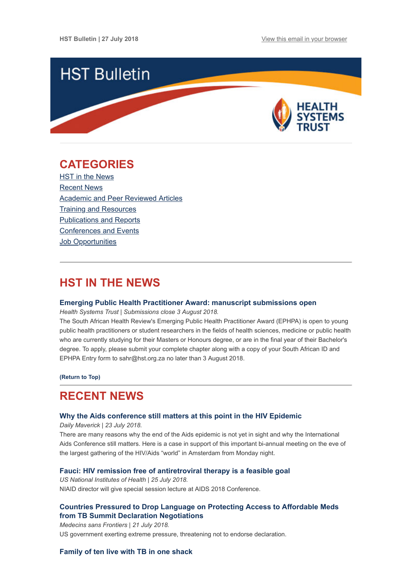

# <span id="page-0-1"></span>**CATEGORIES**

HST in the News [Recent News](#page-0-0) [Academic and Peer Reviewed Articles](#page-1-0) [Training and Resources](#page-3-0) [Publications and Reports](#page-3-1) [Conferences and Events](#page-3-2) **Job Opportunities** 

# **HST IN THE NEWS**

#### **[Emerging Public Health Practitioner Award: manuscript submissions open](http://www.hst.org.za/publications/Pages/2018-Emerging-Public-Health-Practitioner-Award.aspx)**

*Health Systems Trust | Submissions close 3 August 2018.*

The South African Health Review's Emerging Public Health Practitioner Award (EPHPA) is open to young public health practitioners or student researchers in the fields of health sciences, medicine or public health who are currently studying for their Masters or Honours degree, or are in the final year of their Bachelor's degree. To apply, please submit your complete chapter along with a copy of your South African ID and EPHPA Entry form to sahr@hst.org.za no later than 3 August 2018.

**[\(Return to Top\)](#page-0-1)**

# <span id="page-0-0"></span>**RECENT NEWS**

#### **[Why the Aids conference still matters at this point in the HIV Epidemic](https://www.dailymaverick.co.za/article/2018-07-23-why-the-aids-conference-still-matters-at-this-point-in-the-hiv-epidemic/)**

*Daily Maverick | 23 July 2018.*

There are many reasons why the end of the Aids epidemic is not yet in sight and why the International Aids Conference still matters. Here is a case in support of this important bi-annual meeting on the eve of the largest gathering of the HIV/Aids "world" in Amsterdam from Monday night.

### **[Fauci: HIV remission free of antiretroviral therapy is a feasible goal](https://www.nih.gov/news-events/news-releases/fauci-hiv-remission-free-antiretroviral-therapy-feasible-goal)**

*US National Institutes of Health | 25 July 2018.*  NIAID director will give special session lecture at AIDS 2018 Conference.

# **[Countries Pressured to Drop Language on Protecting Access to Affordable Meds](https://msf-sa-press.prezly.com/countries-pressured-to-drop-language-on-protecting-access-to-affordable-meds-from-tb-summit-declaration-negotiations) from TB Summit Declaration Negotiations**

US government exerting extreme pressure, threatening not to endorse declaration.

### **[Family of ten live with TB in one shack](https://www.groundup.org.za/article/family-ten-live-tb-one-shack/)**

*Medecins sans Frontiers | 21 July 2018.*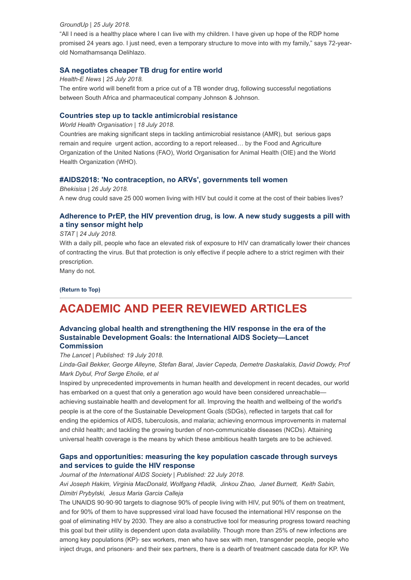#### *GroundUp | 25 July 2018.*

"All I need is a healthy place where I can live with my children. I have given up hope of the RDP home promised 24 years ago. I just need, even a temporary structure to move into with my family," says 72-yearold Nomathamsanqa Delihlazo.

### **[SA negotiates cheaper TB drug for entire world](https://www.health-e.org.za/2018/07/25/sa-negotiates-cheaper-tb-drug-for-entire-world/)**

*Health-E News | 25 July 2018.*

The entire world will benefit from a price cut of a TB wonder drug, following successful negotiations between South Africa and pharmaceutical company Johnson & Johnson.

#### **[Countries step up to tackle antimicrobial resistance](http://www.who.int/news-room/detail/18-07-2018-countries-step-up-to-tackle-antimicrobial-resistance)**

*World Health Organisation | 18 July 2018.*

Countries are making significant steps in tackling antimicrobial resistance (AMR), but serious gaps remain and require urgent action, according to a report released… by the Food and Agriculture Organization of the United Nations (FAO), World Organisation for Animal Health (OIE) and the World Health Organization (WHO).

### **[#AIDS2018: 'No contraception, no ARVs', governments tell women](https://bhekisisa.org/article/2018-07-26-00-no-contraception-no-hiv-treatment-dolutegravir)**

*Bhekisisa | 26 July 2018.* A new drug could save 25 000 women living with HIV but could it come at the cost of their babies lives?

# **[Adherence to PrEP, the HIV prevention drug, is low. A new study suggests a pill with](https://www.statnews.com/2018/07/24/digital-pill-prep-truvada/?utm_source=STAT+Newsletters&utm_campaign=3cb2b8e9b6-Pharmalot&utm_medium=email&utm_term=0_8cab1d7961-3cb2b8e9b6-149648021) a tiny sensor might help**

#### *STAT | 24 July 2018.*

With a daily pill, people who face an elevated risk of exposure to HIV can dramatically lower their chances of contracting the virus. But that protection is only effective if people adhere to a strict regimen with their prescription.

Many do not.

**[\(Return to Top\)](#page-0-1)**

# <span id="page-1-0"></span>**ACADEMIC AND PEER REVIEWED ARTICLES**

### **[Advancing global health and strengthening the HIV response in the era of the](https://www.thelancet.com/journals/lancet/article/PIIS0140-6736(18)31070-5/fulltext) Sustainable Development Goals: the International AIDS Society—Lancet Commission**

#### *The Lancet | Published: 19 July 2018.*

*Linda-Gail Bekker, George Alleyne, Stefan Baral, Javier Cepeda, Demetre Daskalakis, David Dowdy, Prof Mark Dybul, Prof Serge Eholie, et al*

Inspired by unprecedented improvements in human health and development in recent decades, our world has embarked on a quest that only a generation ago would have been considered unreachable achieving sustainable health and development for all. Improving the health and wellbeing of the world's people is at the core of the Sustainable Development Goals (SDGs), reflected in targets that call for ending the epidemics of AIDS, tuberculosis, and malaria; achieving enormous improvements in maternal and child health; and tackling the growing burden of non-communicable diseases (NCDs). Attaining universal health coverage is the means by which these ambitious health targets are to be achieved.

# **[Gaps and opportunities: measuring the key population cascade through surveys](https://onlinelibrary.wiley.com/doi/full/10.1002/jia2.25119) and services to guide the HIV response**

*Journal of the International AIDS Society | Published: 22 July 2018. Avi Joseph Hakim, Virginia MacDonald, Wolfgang Hladik, Jinkou Zhao, Janet Burnett, Keith Sabin, Dimitri Prybylski, Jesus Maria Garcia Calleja*

The UNAIDS 90‐90‐90 targets to diagnose 90% of people living with HIV, put 90% of them on treatment, and for 90% of them to have suppressed viral load have focused the international HIV response on the goal of eliminating HIV by 2030. They are also a constructive tool for measuring progress toward reaching this goal but their utility is dependent upon data availability. Though more than 25% of new infections are among key populations (KP)- sex workers, men who have sex with men, transgender people, people who inject drugs, and prisoners‐ and their sex partners, there is a dearth of treatment cascade data for KP. We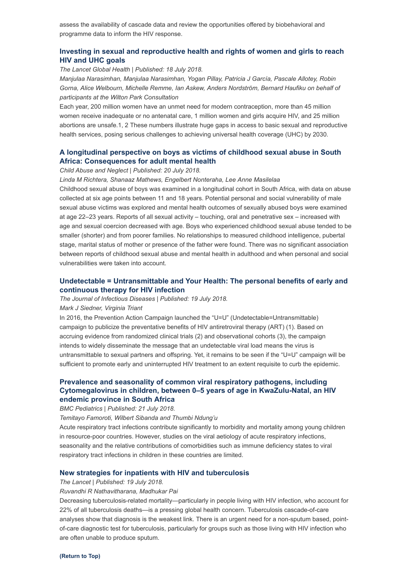assess the availability of cascade data and review the opportunities offered by biobehavioral and programme data to inform the HIV response.

# **[Investing in sexual and reproductive health and rights of women and girls to reach](https://www.thelancet.com/journals/langlo/article/PIIS2214-109X(18)30316-4/fulltext) HIV and UHC goals**

*The Lancet Global Health | Published: 18 July 2018.*

*Manjulaa Narasimhan, Manjulaa Narasimhan, Yogan Pillay, Patricia J García, Pascale Allotey, Robin Gorna, Alice Welbourn, Michelle Remme, Ian Askew, Anders Nordström, Bernard Haufiku on behalf of participants at the Wilton Park Consultation*

Each year, 200 million women have an unmet need for modern contraception, more than 45 million women receive inadequate or no antenatal care, 1 million women and girls acquire HIV, and 25 million abortions are unsafe.1, 2 These numbers illustrate huge gaps in access to basic sexual and reproductive health services, posing serious challenges to achieving universal health coverage (UHC) by 2030.

### **[A longitudinal perspective on boys as victims of childhood sexual abuse in South](https://www.sciencedirect.com/science/article/pii/S0145213418302850?via%3Dihub) Africa: Consequences for adult mental health**

#### *Child Abuse and Neglect | Published: 20 July 2018.*

*Linda M Richtera, Shanaaz Mathews, Engelbert Nonteraha, Lee Anne Masilelaa*

Childhood sexual abuse of boys was examined in a longitudinal cohort in South Africa, with data on abuse collected at six age points between 11 and 18 years. Potential personal and social vulnerability of male sexual abuse victims was explored and mental health outcomes of sexually abused boys were examined at age 22–23 years. Reports of all sexual activity – touching, oral and penetrative sex – increased with age and sexual coercion decreased with age. Boys who experienced childhood sexual abuse tended to be smaller (shorter) and from poorer families. No relationships to measured childhood intelligence, pubertal stage, marital status of mother or presence of the father were found. There was no significant association between reports of childhood sexual abuse and mental health in adulthood and when personal and social vulnerabilities were taken into account.

### **[Undetectable = Untransmittable and Your Health: The personal benefits of early and](https://academic.oup.com/jid/advance-article/doi/10.1093/infdis/jiy445/5055762) continuous therapy for HIV infection**

*The Journal of Infectious Diseases | Published: 19 July 2018.*

#### *Mark J Siedner, Virginia Triant*

In 2016, the Prevention Action Campaign launched the "U=U" (Undetectable=Untransmittable) campaign to publicize the preventative benefits of HIV antiretroviral therapy (ART) (1). Based on accruing evidence from randomized clinical trials (2) and observational cohorts (3), the campaign intends to widely disseminate the message that an undetectable viral load means the virus is untransmittable to sexual partners and offspring. Yet, it remains to be seen if the "U=U" campaign will be sufficient to promote early and uninterrupted HIV treatment to an extent requisite to curb the epidemic.

## **Prevalence and seasonality of common viral respiratory pathogens, including [Cytomegalovirus in children, between 0–5 years of age in KwaZulu-Natal, an HIV](https://bmcpediatr.biomedcentral.com/articles/10.1186/s12887-018-1222-8) endemic province in South Africa**

*BMC Pediatrics | Published: 21 July 2018.*

*Temitayo Famoroti, Wilbert Sibanda and Thumbi Ndung'u*

Acute respiratory tract infections contribute significantly to morbidity and mortality among young children in resource-poor countries. However, studies on the viral aetiology of acute respiratory infections, seasonality and the relative contributions of comorbidities such as immune deficiency states to viral respiratory tract infections in children in these countries are limited.

#### **[New strategies for inpatients with HIV and tuberculosis](https://www.thelancet.com/journals/lancet/article/PIIS0140-6736(18)31442-9/fulltext)**

#### *The Lancet | Published: 19 July 2018.*

*Ruvandhi R Nathavitharana, Madhukar Pai*

Decreasing tuberculosis-related mortality—particularly in people living with HIV infection, who account for 22% of all tuberculosis deaths—is a pressing global health concern. Tuberculosis cascade-of-care analyses show that diagnosis is the weakest link. There is an urgent need for a non-sputum based, pointof-care diagnostic test for tuberculosis, particularly for groups such as those living with HIV infection who are often unable to produce sputum.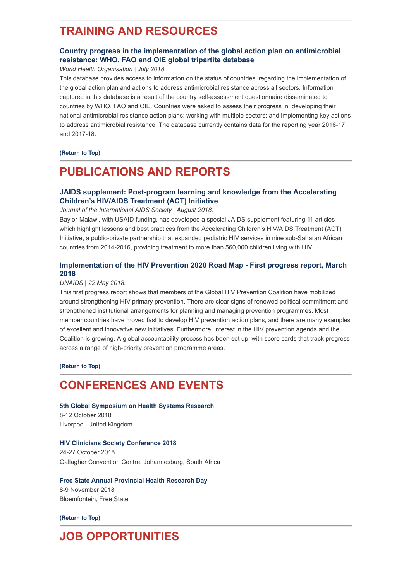# <span id="page-3-0"></span>**TRAINING AND RESOURCES**

# **[Country progress in the implementation of the global action plan on antimicrobial](http://www.who.int/antimicrobial-resistance/global-action-plan/database/en/) resistance: WHO, FAO and OIE global tripartite database**

#### *World Health Organisation | July 2018.*

This database provides access to information on the status of countries' regarding the implementation of the global action plan and actions to address antimicrobial resistance across all sectors. Information captured in this database is a result of the country self-assessment questionnaire disseminated to countries by WHO, FAO and OIE. Countries were asked to assess their progress in: developing their national antimicrobial resistance action plans; working with multiple sectors; and implementing key actions to address antimicrobial resistance. The database currently contains data for the reporting year 2016-17 and 2017-18.

**[\(Return to Top\)](#page-0-1)**

# <span id="page-3-1"></span>**PUBLICATIONS AND REPORTS**

# **[JAIDS supplement: Post-program learning and knowledge from the Accelerating](https://journals.lww.com/jaids/toc/2018/08152) Children's HIV/AIDS Treatment (ACT) Initiative**

*Journal of the International AIDS Society | August 2018.*

Baylor-Malawi, with USAID funding, has developed a special JAIDS supplement featuring 11 articles which highlight lessons and best practices from the Accelerating Children's HIV/AIDS Treatment (ACT) Initiative, a public-private partnership that expanded pediatric HIV services in nine sub-Saharan African countries from 2014-2016, providing treatment to more than 560,000 children living with HIV.

# **[Implementation of the HIV Prevention 2020 Road Map - First progress report, March](http://www.hst.org.za/publications/NonHST%20Publications/jc2927_hiv-prevention-2020-road-map-first-progress-report_en.pdf) 2018**

# *UNAIDS | 22 May 2018.*

This first progress report shows that members of the Global HIV Prevention Coalition have mobilized around strengthening HIV primary prevention. There are clear signs of renewed political commitment and strengthened institutional arrangements for planning and managing prevention programmes. Most member countries have moved fast to develop HIV prevention action plans, and there are many examples of excellent and innovative new initiatives. Furthermore, interest in the HIV prevention agenda and the Coalition is growing. A global accountability process has been set up, with score cards that track progress across a range of high-priority prevention programme areas.

**[\(Return to Top\)](#page-0-1)**

# <span id="page-3-2"></span>**CONFERENCES AND EVENTS**

**[5th Global Symposium on Health Systems Research](http://www.hst.org.za/Lists/HST%20Events/DispForm.aspx?ID=17)** 8-12 October 2018 Liverpool, United Kingdom

#### **[HIV Clinicians Society Conference 2018](http://www.sahivsoc2018.co.za/)**

24-27 October 2018 Gallagher Convention Centre, Johannesburg, South Africa

**[Free State Annual Provincial Health Research Day](http://www.hst.org.za/Lists/HST%20Events/DispForm.aspx?ID=30)** 8-9 November 2018 Bloemfontein, Free State

**[\(Return to Top\)](#page-0-1)**

# **JOB OPPORTUNITIES**